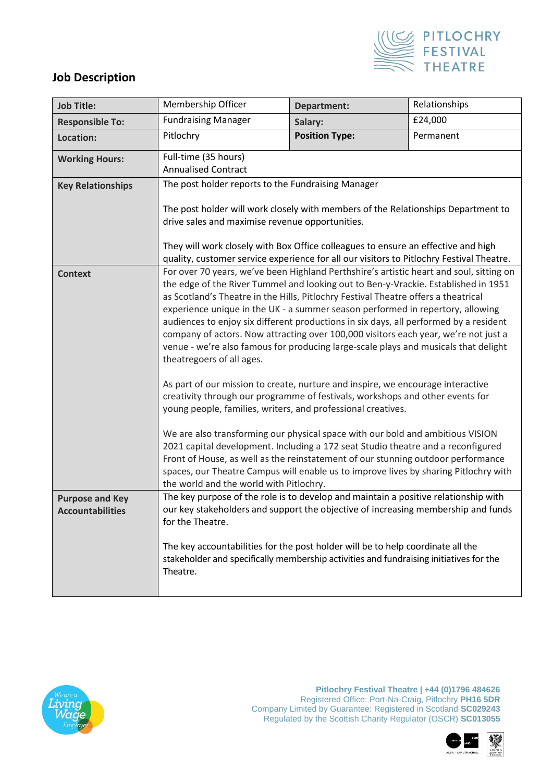

## **Job Description**

| <b>Job Title:</b>                                 | Membership Officer                                                                                                                                                                                                                                                                                                                                                                                                                                                                                                                                                                                                                                                                                                                                                                                                                                                                            | <b>Department:</b>                                                                                                                                                                                                                                                                                                                             | Relationships |  |  |
|---------------------------------------------------|-----------------------------------------------------------------------------------------------------------------------------------------------------------------------------------------------------------------------------------------------------------------------------------------------------------------------------------------------------------------------------------------------------------------------------------------------------------------------------------------------------------------------------------------------------------------------------------------------------------------------------------------------------------------------------------------------------------------------------------------------------------------------------------------------------------------------------------------------------------------------------------------------|------------------------------------------------------------------------------------------------------------------------------------------------------------------------------------------------------------------------------------------------------------------------------------------------------------------------------------------------|---------------|--|--|
| <b>Responsible To:</b>                            | <b>Fundraising Manager</b>                                                                                                                                                                                                                                                                                                                                                                                                                                                                                                                                                                                                                                                                                                                                                                                                                                                                    | Salary:                                                                                                                                                                                                                                                                                                                                        | £24,000       |  |  |
| Location:                                         | Pitlochry                                                                                                                                                                                                                                                                                                                                                                                                                                                                                                                                                                                                                                                                                                                                                                                                                                                                                     | <b>Position Type:</b>                                                                                                                                                                                                                                                                                                                          | Permanent     |  |  |
| <b>Working Hours:</b>                             | Full-time (35 hours)<br><b>Annualised Contract</b>                                                                                                                                                                                                                                                                                                                                                                                                                                                                                                                                                                                                                                                                                                                                                                                                                                            |                                                                                                                                                                                                                                                                                                                                                |               |  |  |
| <b>Key Relationships</b>                          | The post holder reports to the Fundraising Manager                                                                                                                                                                                                                                                                                                                                                                                                                                                                                                                                                                                                                                                                                                                                                                                                                                            |                                                                                                                                                                                                                                                                                                                                                |               |  |  |
|                                                   | The post holder will work closely with members of the Relationships Department to<br>drive sales and maximise revenue opportunities.<br>They will work closely with Box Office colleagues to ensure an effective and high<br>quality, customer service experience for all our visitors to Pitlochry Festival Theatre.                                                                                                                                                                                                                                                                                                                                                                                                                                                                                                                                                                         |                                                                                                                                                                                                                                                                                                                                                |               |  |  |
| <b>Context</b>                                    | For over 70 years, we've been Highland Perthshire's artistic heart and soul, sitting on<br>the edge of the River Tummel and looking out to Ben-y-Vrackie. Established in 1951<br>as Scotland's Theatre in the Hills, Pitlochry Festival Theatre offers a theatrical<br>experience unique in the UK - a summer season performed in repertory, allowing<br>audiences to enjoy six different productions in six days, all performed by a resident<br>company of actors. Now attracting over 100,000 visitors each year, we're not just a<br>venue - we're also famous for producing large-scale plays and musicals that delight<br>theatregoers of all ages.<br>As part of our mission to create, nurture and inspire, we encourage interactive<br>creativity through our programme of festivals, workshops and other events for<br>young people, families, writers, and professional creatives. |                                                                                                                                                                                                                                                                                                                                                |               |  |  |
|                                                   | the world and the world with Pitlochry.                                                                                                                                                                                                                                                                                                                                                                                                                                                                                                                                                                                                                                                                                                                                                                                                                                                       | We are also transforming our physical space with our bold and ambitious VISION<br>2021 capital development. Including a 172 seat Studio theatre and a reconfigured<br>Front of House, as well as the reinstatement of our stunning outdoor performance<br>spaces, our Theatre Campus will enable us to improve lives by sharing Pitlochry with |               |  |  |
| <b>Purpose and Key</b><br><b>Accountabilities</b> | The key purpose of the role is to develop and maintain a positive relationship with<br>our key stakeholders and support the objective of increasing membership and funds<br>for the Theatre.                                                                                                                                                                                                                                                                                                                                                                                                                                                                                                                                                                                                                                                                                                  |                                                                                                                                                                                                                                                                                                                                                |               |  |  |
|                                                   | The key accountabilities for the post holder will be to help coordinate all the<br>stakeholder and specifically membership activities and fundraising initiatives for the<br>Theatre.                                                                                                                                                                                                                                                                                                                                                                                                                                                                                                                                                                                                                                                                                                         |                                                                                                                                                                                                                                                                                                                                                |               |  |  |



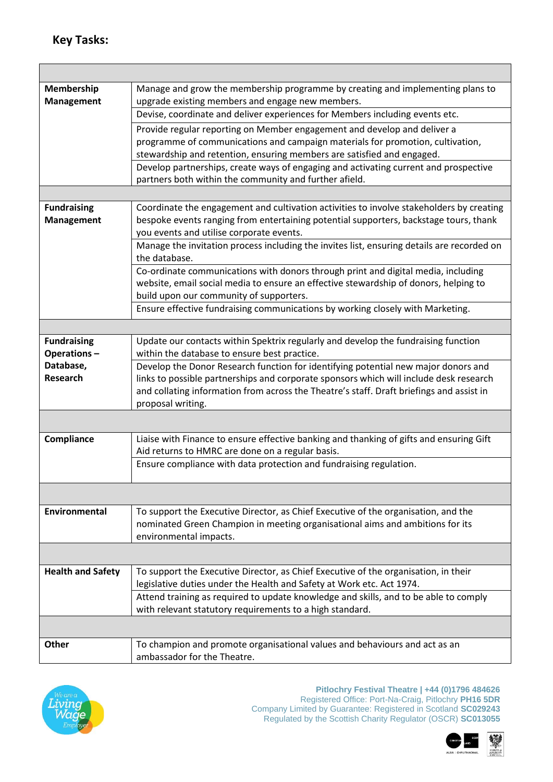$\overline{\phantom{a}}$ 

| Membership               | Manage and grow the membership programme by creating and implementing plans to             |  |  |  |
|--------------------------|--------------------------------------------------------------------------------------------|--|--|--|
| <b>Management</b>        | upgrade existing members and engage new members.                                           |  |  |  |
|                          | Devise, coordinate and deliver experiences for Members including events etc.               |  |  |  |
|                          | Provide regular reporting on Member engagement and develop and deliver a                   |  |  |  |
|                          | programme of communications and campaign materials for promotion, cultivation,             |  |  |  |
|                          | stewardship and retention, ensuring members are satisfied and engaged.                     |  |  |  |
|                          | Develop partnerships, create ways of engaging and activating current and prospective       |  |  |  |
|                          | partners both within the community and further afield.                                     |  |  |  |
|                          |                                                                                            |  |  |  |
| <b>Fundraising</b>       | Coordinate the engagement and cultivation activities to involve stakeholders by creating   |  |  |  |
| <b>Management</b>        | bespoke events ranging from entertaining potential supporters, backstage tours, thank      |  |  |  |
|                          | you events and utilise corporate events.                                                   |  |  |  |
|                          | Manage the invitation process including the invites list, ensuring details are recorded on |  |  |  |
|                          | the database.                                                                              |  |  |  |
|                          | Co-ordinate communications with donors through print and digital media, including          |  |  |  |
|                          | website, email social media to ensure an effective stewardship of donors, helping to       |  |  |  |
|                          | build upon our community of supporters.                                                    |  |  |  |
|                          | Ensure effective fundraising communications by working closely with Marketing.             |  |  |  |
|                          |                                                                                            |  |  |  |
| <b>Fundraising</b>       | Update our contacts within Spektrix regularly and develop the fundraising function         |  |  |  |
| Operations-              | within the database to ensure best practice.                                               |  |  |  |
| Database,                | Develop the Donor Research function for identifying potential new major donors and         |  |  |  |
| <b>Research</b>          | links to possible partnerships and corporate sponsors which will include desk research     |  |  |  |
|                          | and collating information from across the Theatre's staff. Draft briefings and assist in   |  |  |  |
|                          | proposal writing.                                                                          |  |  |  |
|                          |                                                                                            |  |  |  |
| Compliance               | Liaise with Finance to ensure effective banking and thanking of gifts and ensuring Gift    |  |  |  |
|                          | Aid returns to HMRC are done on a regular basis.                                           |  |  |  |
|                          | Ensure compliance with data protection and fundraising regulation.                         |  |  |  |
|                          |                                                                                            |  |  |  |
|                          |                                                                                            |  |  |  |
| Environmental            | To support the Executive Director, as Chief Executive of the organisation, and the         |  |  |  |
|                          | nominated Green Champion in meeting organisational aims and ambitions for its              |  |  |  |
|                          | environmental impacts.                                                                     |  |  |  |
|                          |                                                                                            |  |  |  |
| <b>Health and Safety</b> | To support the Executive Director, as Chief Executive of the organisation, in their        |  |  |  |
|                          | legislative duties under the Health and Safety at Work etc. Act 1974.                      |  |  |  |
|                          | Attend training as required to update knowledge and skills, and to be able to comply       |  |  |  |
|                          | with relevant statutory requirements to a high standard.                                   |  |  |  |
|                          |                                                                                            |  |  |  |
|                          |                                                                                            |  |  |  |
| Other                    | To champion and promote organisational values and behaviours and act as an                 |  |  |  |
|                          | ambassador for the Theatre.                                                                |  |  |  |



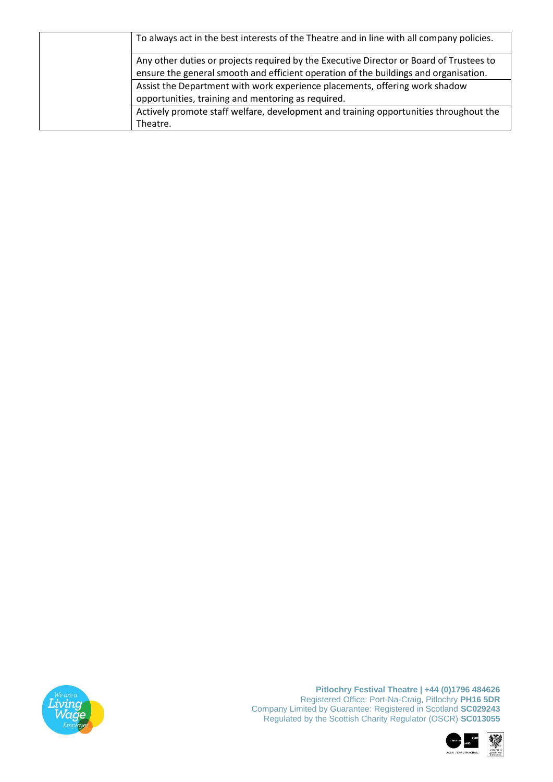|  | To always act in the best interests of the Theatre and in line with all company policies.                                                                                       |
|--|---------------------------------------------------------------------------------------------------------------------------------------------------------------------------------|
|  | Any other duties or projects required by the Executive Director or Board of Trustees to<br>ensure the general smooth and efficient operation of the buildings and organisation. |
|  | Assist the Department with work experience placements, offering work shadow<br>opportunities, training and mentoring as required.                                               |
|  | Actively promote staff welfare, development and training opportunities throughout the<br>Theatre.                                                                               |



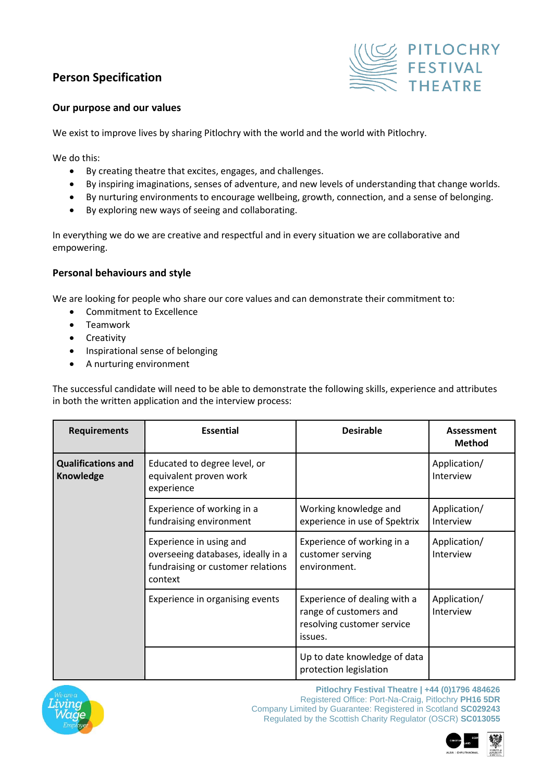## **Person Specification**



## **Our purpose and our values**

We exist to improve lives by sharing Pitlochry with the world and the world with Pitlochry.

We do this:

- By creating theatre that excites, engages, and challenges.
- By inspiring imaginations, senses of adventure, and new levels of understanding that change worlds.
- By nurturing environments to encourage wellbeing, growth, connection, and a sense of belonging.
- By exploring new ways of seeing and collaborating.

In everything we do we are creative and respectful and in every situation we are collaborative and empowering.

## **Personal behaviours and style**

We are looking for people who share our core values and can demonstrate their commitment to:

- Commitment to Excellence
- Teamwork
- Creativity
- Inspirational sense of belonging
- A nurturing environment

The successful candidate will need to be able to demonstrate the following skills, experience and attributes in both the written application and the interview process:

| <b>Requirements</b>                           | <b>Essential</b>                                                                                              | <b>Desirable</b>                                                                                | Assessment<br><b>Method</b> |
|-----------------------------------------------|---------------------------------------------------------------------------------------------------------------|-------------------------------------------------------------------------------------------------|-----------------------------|
| <b>Qualifications and</b><br><b>Knowledge</b> | Educated to degree level, or<br>equivalent proven work<br>experience                                          |                                                                                                 | Application/<br>Interview   |
|                                               | Experience of working in a<br>fundraising environment                                                         | Working knowledge and<br>experience in use of Spektrix                                          | Application/<br>Interview   |
|                                               | Experience in using and<br>overseeing databases, ideally in a<br>fundraising or customer relations<br>context | Experience of working in a<br>customer serving<br>environment.                                  | Application/<br>Interview   |
|                                               | Experience in organising events                                                                               | Experience of dealing with a<br>range of customers and<br>resolving customer service<br>issues. | Application/<br>Interview   |
|                                               |                                                                                                               | Up to date knowledge of data<br>protection legislation                                          |                             |